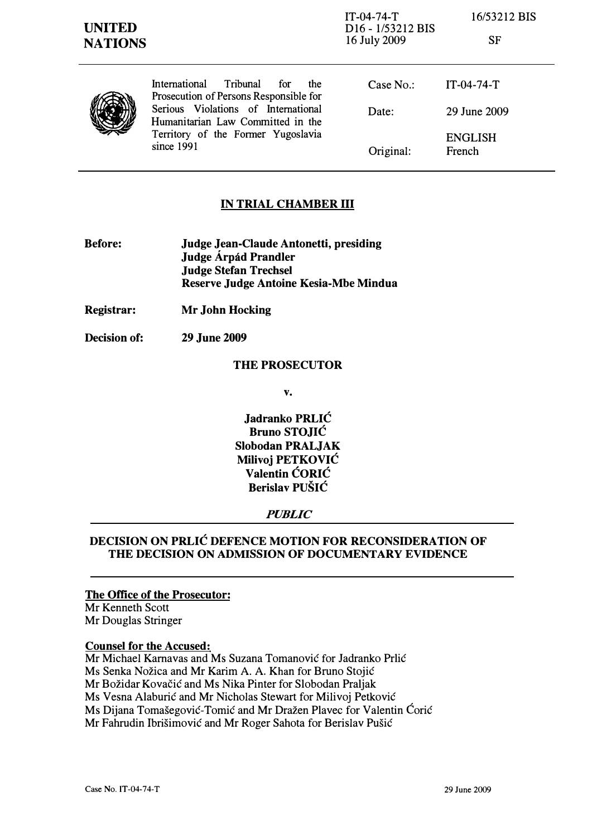|--|

| Prosec         |
|----------------|
| <b>Serious</b> |
| Humar          |
| Territo        |
|                |

International Tribunal for the Prosecution of Persons Responsible for Serious Violations of International Humanitarian Law Committed in the Territory of the Former Yugoslavia since 1991

| Case No.  | $IT-04-74-T$             |
|-----------|--------------------------|
| Date:     | 29 June 2009             |
| Original: | <b>ENGLISH</b><br>French |

# IN TRIAL CHAMBER III

- Before: Judge Jean-Claude Antonetti, presiding Judge Árpád Prandler Judge Stefan Trechsel Reserve Judge Antoine Kesia-Mbe Mindua
- Registrar: Mr John Hocking
- Decision of: 29 June 2009

## THE PROSECUTOR

v.

Jadranko PRLIC Bruno STOJIC Slobodan PRALJAK Milivoj PETKOVIĆ Valentin CORIC Berislav PUSIC

## PUBLIC

# DECISION ON PRLIC DEFENCE MOTION FOR RECONSIDERATION OF THE DECISION ON ADMISSION OF DOCUMENTARY EVIDENCE

## The Office of the Prosecutor:

Mr Kenneth Scott Mr Douglas Stringer

### Counsel for the Accused:

Mr Michael Karnavas and Ms Suzana Tomanovic for Jadranko Prlic Ms Senka Nozica and Mr Karim A. A. Khan for Bruno Stojic Mr Bozidar Kovacic and Ms Nika Pinter for Slobodan Praljak Ms Vesna Alaburic and Mr Nicholas Stewart for Milivoj Petkovic Ms Dijana Tomasegovic-Tomic and Mr Drazen Plavec for Valentin Coric Mr Fahrudin Ibrisimovic and Mr Roger Sahota for Berislav Pusic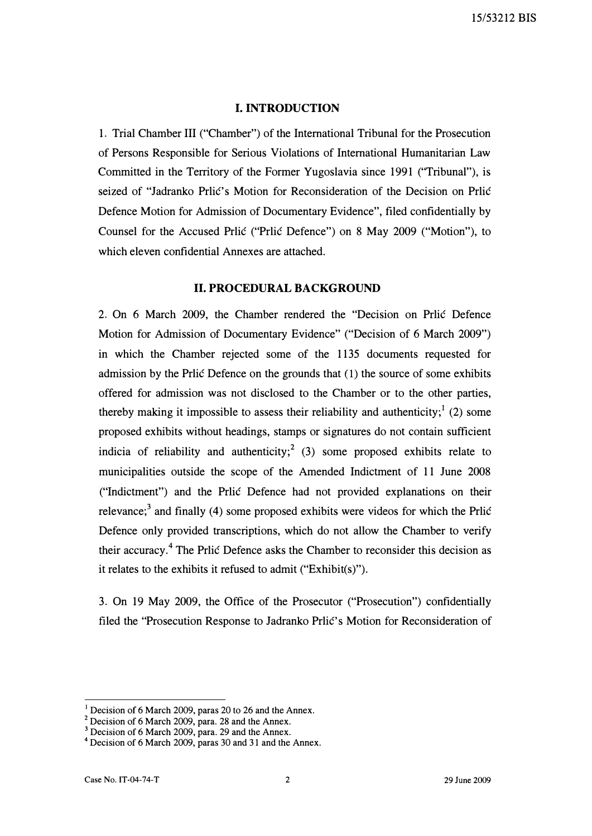#### I. INTRODUCTION

1. Trial Chamber III ("Chamber") of the International Tribunal for the Prosecution of Persons Responsible for Serious Violations of International Humanitarian Law Committed in the Territory of the Former Yugoslavia since 1991 ("Tribunal"), is seized of "Jadranko Prlić's Motion for Reconsideration of the Decision on Prlić Defence Motion for Admission of Documentary Evidence", filed confidentially by Counsel for the Accused Prlic ("Prlic Defence") on 8 May 2009 ("Motion"), to which eleven confidential Annexes are attached.

### II. PROCEDURAL BACKGROUND

2. On 6 March 2009, the Chamber rendered the "Decision on Prlic Defence Motion for Admission of Documentary Evidence" ("Decision of 6 March 2009") in which the Chamber rejected some of the 1135 documents requested for admission by the Prlic Defence on the grounds that (1) the source of some exhibits offered for admission was not disclosed to the Chamber or to the other parties, thereby making it impossible to assess their reliability and authenticity;<sup>1</sup> (2) some proposed exhibits without headings, stamps or signatures do not contain sufficient indicia of reliability and authenticity;<sup>2</sup> (3) some proposed exhibits relate to municipalities outside the scope of the Amended Indictment of 11 June 2008 ("Indictment") and the Prlic Defence had not provided explanations on their relevance;<sup>3</sup> and finally (4) some proposed exhibits were videos for which the Prlic Defence only provided transcriptions, which do not allow the Chamber to verify their accuracy.4 The Prlic Defence asks the Chamber to reconsider this decision as it relates to the exhibits it refused to admit ("Exhibit(s)").

3. On 19 May 2009, the Office of the Prosecutor ("Prosecution") confidentially filed the "Prosecution Response to Jadranko Prlić's Motion for Reconsideration of

Decision of 6 March 2009, paras 20 to 26 and the Annex.

 $2$  Decision of 6 March 2009, para. 28 and the Annex.

<sup>&</sup>lt;sup>3</sup> Decision of 6 March 2009, para. 29 and the Annex.

<sup>4</sup>Decision of 6 March 2009, paras 30 and 31 and the Annex.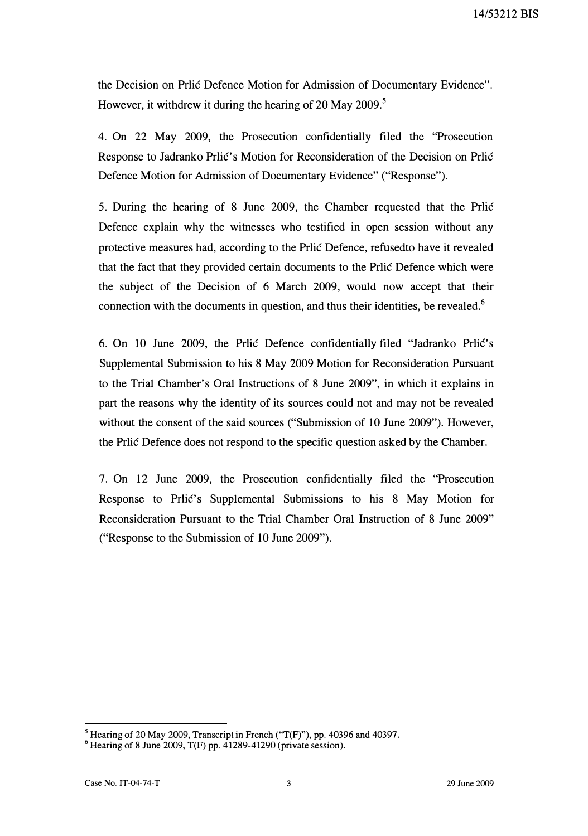the Decision on Prilic Defence Motion for Admission of Documentary Evidence". However, it withdrew it during the hearing of 20 May 2009.<sup>5</sup>

4. On 22 May 2009, the Prosecution confidentially filed the "Prosecution Response to Jadranko Prlić's Motion for Reconsideration of the Decision on Prlić Defence Motion for Admission of Documentary Evidence" ("Response").

5. During the hearing of 8 June 2009, the Chamber requested that the Price Defence explain why the witnesses who testified in open session without any protective measures had, according to the Pric Defence, refused to have it revealed that the fact that they provided certain documents to the Price Defence which were the subject of the Decision of 6 March 2009, would now accept that their connection with the documents in question, and thus their identities, be revealed.<sup>6</sup>

6. On 10 June 2009, the Prlić Defence confidentially filed "Jadranko Prlić's Supplemental Submission to his 8 May 2009 Motion for Reconsideration Pursuant to the Trial Chamber's Oral Instructions of 8 June 2009", in which it explains in part the reasons why the identity of its sources could not and may not be revealed without the consent of the said sources ("Submission of 10 June 2009"). However, the Pric Defence does not respond to the specific question asked by the Chamber.

7. On 12 June 2009, the Prosecution confidentially filed the "Prosecution Response to Pric's Supplemental Submissions to his 8 May Motion for Reconsideration Pursuant to the Trial Chamber Oral Instruction of 8 June 2009" ("Response to the Submission of 10 June 2009").

<sup>&</sup>lt;sup>5</sup> Hearing of 20 May 2009, Transcript in French ("T(F)"), pp. 40396 and 40397.

 $6$  Hearing of 8 June 2009, T(F) pp. 41289-41290 (private session).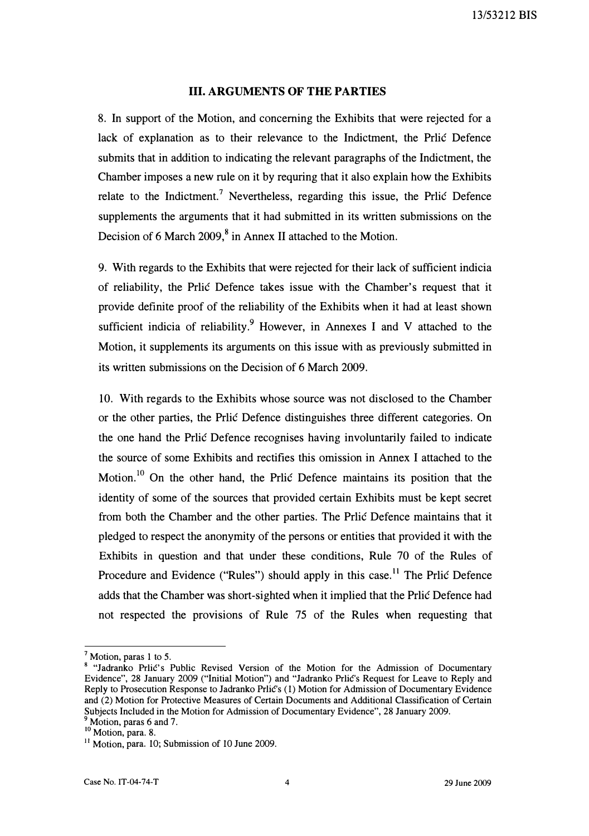### III. ARGUMENTS OF THE PARTIES

8. In support of the Motion, and concerning the Exhibits that were rejected for a lack of explanation as to their relevance to the Indictment, the Prlić Defence submits that in addition to indicating the relevant paragraphs of the Indictment, the Chamber imposes a new rule on it by requring that it also explain how the Exhibits relate to the Indictment.<sup>7</sup> Nevertheless, regarding this issue, the Prlic Defence supplements the arguments that it had submitted in its written submissions on the Decision of 6 March 2009,<sup>8</sup> in Annex II attached to the Motion.

9. With regards to the Exhibits that were rejected for their lack of sufficient indicia of reliability, the Prlic Defence takes issue with the Chamber's request that it provide definite proof of the reliability of the Exhibits when it had at least shown sufficient indicia of reliability.<sup>9</sup> However, in Annexes I and V attached to the Motion, it supplements its arguments on this issue with as previously submitted in its written submissions on the Decision of 6 March 2009.

10. With regards to the Exhibits whose source was not disclosed to the Chamber or the other parties, the Pric Defence distinguishes three different categories. On the one hand the Priic Defence recognises having involuntarily failed to indicate the source of some Exhibits and rectifies this omission in Annex I attached to the Motion.<sup>10</sup> On the other hand, the Prlic Defence maintains its position that the identity of some of the sources that provided certain Exhibits must be kept secret from both the Chamber and the other parties. The Prlić Defence maintains that it pledged to respect the anonymity of the persons or entities that provided it with the Exhibits in question and that under these conditions, Rule 70 of the Rules of Procedure and Evidence ("Rules") should apply in this case.<sup>11</sup> The Priic Defence adds that the Chamber was short-sighted when it implied that the Prlic Defence had not respected the provisions of Rule 75 of the Rules when requesting that

 $<sup>7</sup>$  Motion, paras 1 to 5.</sup>

<sup>8 &</sup>quot;Jadranko Prlić's Public Revised Version of the Motion for the Admission of Documentary Evidence", 28 January 2009 ("Initial Motion") and "Jadranko Prlić's Request for Leave to Reply and Reply to Prosecution Response to Jadranko Prlic's (1) Motion for Admission of Documentary Evidence and (2) Motion for Protective Measures of Certain Documents and Additional Classification of Certain Subjects Included in the Motion for Admission of Documentary Evidence", 28 January 2009. <sup>9</sup> Motion, paras 6 and 7.

 $10$  Motion, para. 8.

<sup>&</sup>lt;sup>11</sup> Motion, para. 10; Submission of 10 June 2009.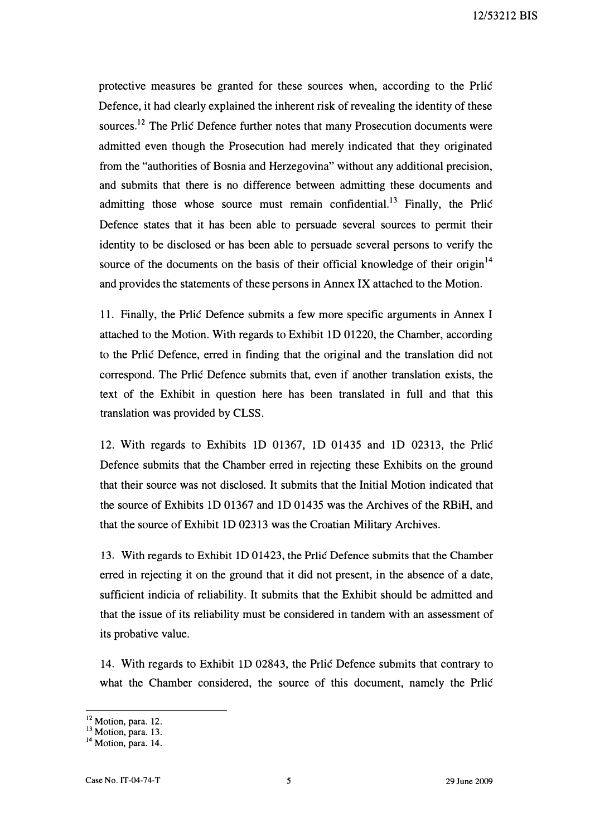protective measures be granted for these sources when, according to the Prlic Defence, it had clearly explained the inherent risk of revealing the identity of these sources.<sup>12</sup> The Prlic Defence further notes that many Prosecution documents were admitted even though the Prosecution had merely indicated that they originated from the "authorities of Bosnia and Herzegovina" without any additional precision, and submits that there is no difference between admitting these documents and admitting those whose source must remain confidential.<sup>13</sup> Finally, the Prlic Defence states that it has been able to persuade several sources to permit their identity to be disclosed or has been able to persuade several persons to verify the source of the documents on the basis of their official knowledge of their origin<sup>14</sup> and provides the statements of these persons in Annex IX attached to the Motion.

11. Finally, the Prlic Defence submits a few more specific arguments in Annex I attached to the Motion. With regards to Exhibit ID 01220, the Chamber, according to the Prlic Defence, erred in finding that the original and the translation did not correspond. The Prlic Defence submits that, even if another translation exists, the text of the Exhibit in question here has been translated in full and that this translation was provided by CLSS.

12. With regards to Exhibits ID 01367, ID 01435 and ID 02313, the Prlic Defence submits that the Chamber erred in rejecting these Exhibits on the ground that their source was not disclosed. It submits that the Initial Motion indicated that the source of Exhibits ID 01367 and ID 01435 was the Archives of the RBiH, and that the source of Exhibit ID 02313 was the Croatian Military Archives.

13. With regards to Exhibit ID 01423, the Prlic Defence submits that the Chamber erred in rejecting it on the ground that it did not present, in the absence of a date, sufficient indicia of reliability. It submits that the Exhibit should be admitted and that the issue of its reliability must be considered in tandem with an assessment of its probative value.

14. With regards to Exhibit ID 02843, the Prlic Defence submits that contrary to what the Chamber considered, the source of this document, namely the Prlic

<sup>&</sup>lt;sup>12</sup> Motion, para. 12.

 $13$  Motion, para. 13.

<sup>&</sup>lt;sup>14</sup> Motion, para. 14.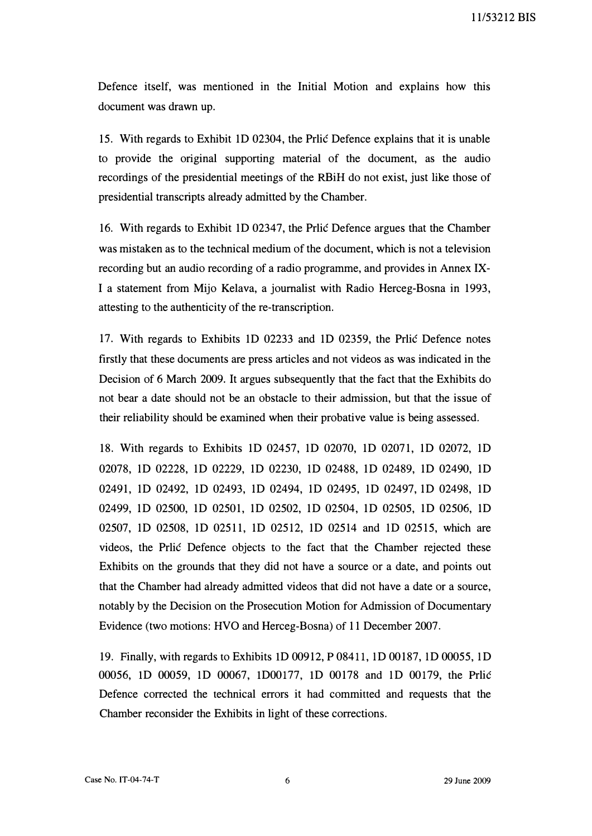11153212 BIS

Defence itself, was mentioned in the Initial Motion and explains how this document was drawn up.

15. With regards to Exhibit 1D 02304, the Prlic Defence explains that it is unable to provide the original supporting material of the document, as the audio recordings of the presidential meetings of the RBiH do not exist, just like those of presidential transcripts already admitted by the Chamber.

16. With regards to Exhibit 1D 02347, the Prlic Defence argues that the Chamber was mistaken as to the technical medium of the document, which is not a television recording but an audio recording of a radio programme, and provides in Annex IX-I a statement from Mijo Kelava, a journalist with Radio Herceg-Bosna in 1993, attesting to the authenticity of the re-transcription.

17. With regards to Exhibits 1D 02233 and 1D 02359, the Prlic Defence notes firstly that these documents are press articles and not videos as was indicated in the Decision of 6 March 2009. It argues subsequently that the fact that the Exhibits do not bear a date should not be an obstacle to their admission, but that the issue of their reliability should be examined when their probative value is being assessed.

18. With regards to Exhibits 1D 02457, 1D 02070, 1D 02071, 1D 02072, 1D 02078, 1D 02228, 1D 02229, 1D 02230, 1D 02488, 1D 02489, 1D 02490, 1D 02491, 1D 02492, 1D 02493, 1D 02494, 1D 02495, 1D 02497, 1D 02498, 1D 02499, 1D 02500, 1D 02501, 1D 02502, 1D 02504, 1D 02505, 1D 02506, 1D 02507, 1D 02508, 1D 02511, 1D 02512, 1D 02514 and 1D 02515, which are videos, the Prlic Defence objects to the fact that the Chamber rejected these Exhibits on the grounds that they did not have a source or a date, and points out that the Chamber had already admitted videos that did not have a date or a source, notably by the Decision on the Prosecution Motion for Admission of Documentary Evidence (two motions: HVO and Herceg-Bosna) of 11 December 2007.

19. Finally, with regards to Exhibits ID 00912, P 08411, lD 00187, lD 00055, lD 00056, ID 00059, lD 00067, ID00177, ID 00178 and lD 00179, the Prlic Defence corrected the technical errors it had committed and requests that the Chamber reconsider the Exhibits in light of these corrections.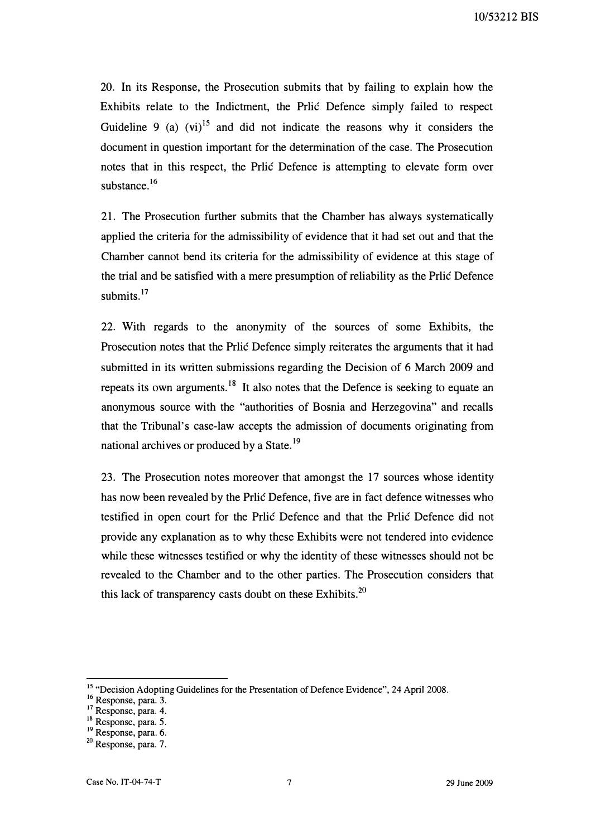20. In its Response, the Prosecution submits that by failing to explain how the Exhibits relate to the Indictment, the Prlic Defence simply failed to respect Guideline 9 (a)  $(vi)^{15}$  and did not indicate the reasons why it considers the document in question important for the determination of the case. The Prosecution notes that in this respect, the Prlic Defence is attempting to elevate form over substance.<sup>16</sup>

21. The Prosecution further submits that the Chamber has always systematically applied the criteria for the admissibility of evidence that it had set out and that the Chamber cannot bend its criteria for the admissibility of evidence at this stage of the trial and be satisfied with a mere presumption of reliability as the Prlic Defence submits.<sup>17</sup>

22. With regards to the anonymity of the sources of some Exhibits, the Prosecution notes that the Prlic Defence simply reiterates the arguments that it had submitted in its written submissions regarding the Decision of 6 March 2009 and repeats its own arguments.<sup>18</sup> It also notes that the Defence is seeking to equate an anonymous source with the "authorities of Bosnia and Herzegovina" and recalls that the Tribunal's case-law accepts the admission of documents originating from national archives or produced by a State.<sup>19</sup>

23. The Prosecution notes moreover that amongst the 17 sources whose identity has now been revealed by the Prlic Defence, five are in fact defence witnesses who testified in open court for the Prlic Defence and that the Prlic Defence did not provide any explanation as to why these Exhibits were not tendered into evidence while these witnesses testified or why the identity of these witnesses should not be revealed to the Chamber and to the other parties. The Prosecution considers that this lack of transparency casts doubt on these Exhibits. $20$ 

<sup>&</sup>lt;sup>15</sup> "Decision Adopting Guidelines for the Presentation of Defence Evidence", 24 April 2008.

<sup>&</sup>lt;sup>16</sup> Response, para. 3.

<sup>&</sup>lt;sup>17</sup> Response, para. 4.

<sup>&</sup>lt;sup>18</sup> Response, para. 5.

<sup>&</sup>lt;sup>19</sup> Response, para. 6.

<sup>&</sup>lt;sup>20</sup> Response, para. 7.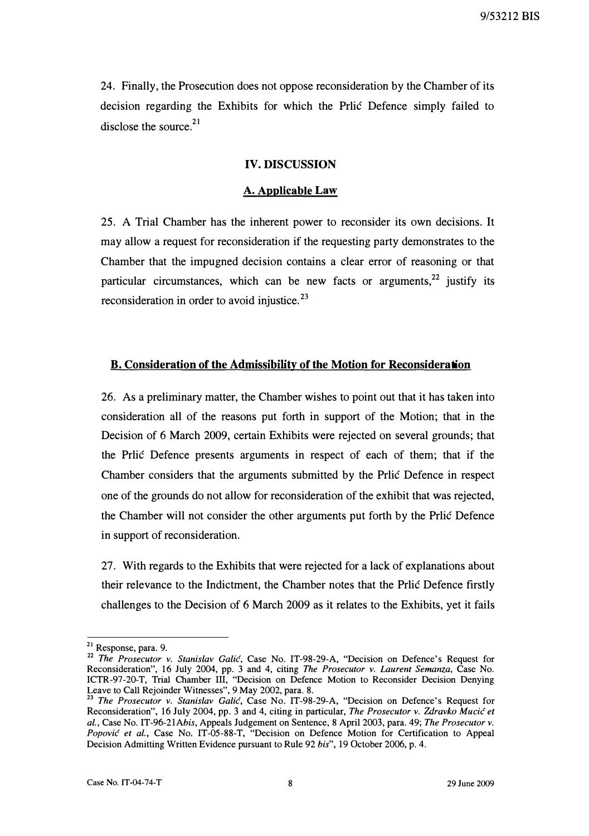24. Finally, the Prosecution does not oppose reconsideration by the Chamber of its decision regarding the Exhibits for which the Prlic Defence simply failed to disclose the source. $21$ 

#### IV. DISCUSSION

#### A. Applicable Law

25. A Trial Chamber has the inherent power to reconsider its own decisions. It may allow a request for reconsideration if the requesting party demonstrates to the Chamber that the impugned decision contains a clear error of reasoning or that particular circumstances, which can be new facts or arguments,  $22$  justify its reconsideration in order to avoid injustice.<sup>23</sup>

#### B. Consideration of the Admissibility of the Motion for Reconsideration

26. As a preliminary matter, the Chamber wishes to point out that it has taken into consideration all of the reasons put forth in support of the Motion; that in the Decision of 6 March 2009, certain Exhibits were rejected on several grounds; that the Prlic Defence presents arguments in respect of each of them; that if the Chamber considers that the arguments submitted by the Prlic Defence in respect one of the grounds do not allow for reconsideration of the exhibit that was rejected, the Chamber will not consider the other arguments put forth by the Prlic Defence in support of reconsideration.

27. With regards to the Exhibits that were rejected for a lack of explanations about their relevance to the Indictment, the Chamber notes that the Prlic Defence firstly challenges to the Decision of 6 March 2009 as it relates to the Exhibits, yet it fails

<sup>2</sup> <sup>1</sup>Response, para. 9.

<sup>&</sup>lt;sup>22</sup> The Prosecutor v. Stanislav Galić, Case No. IT-98-29-A, "Decision on Defence's Request for Reconsideration", 16 July 2004, pp. 3 and 4, citing *The Prosecutor v. Laurent Semanza*, Case No. ICTR-97-20-T, Trial Chamber III, "Decision on Defence Motion to Reconsider Decision Denying Leave to Call Rejoinder Witnesses", 9 May 2002, para. 8.

<sup>&</sup>lt;sup>23</sup> The Prosecutor v. Stanislav Galić, Case No. IT-98-29-A, "Decision on Defence's Request for Reconsideration", 16 July 2004, pp. 3 and 4, citing in particular, The Prosecutor v. Zdravko Mucić et al., Case No. IT-96-21Abis, Appeals Judgement on Sentence, 8 April 2003, para. 49; The Prosecutor v. Popović et al., Case No. IT-05-88-T, "Decision on Defence Motion for Certification to Appeal Decision Admitting Written Evidence pursuant to Rule 92 bis", 19 October 2006, p. 4.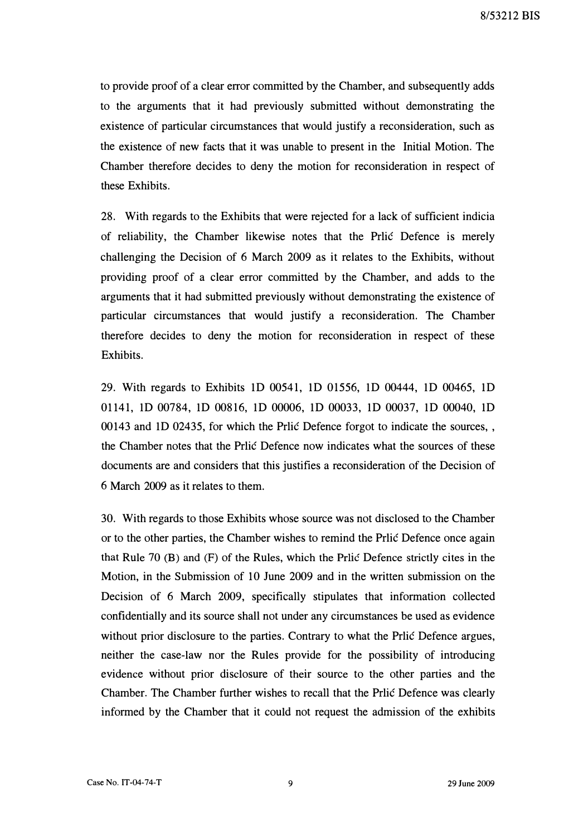to provide proof of a clear error committed by the Chamber, and subsequently adds to the arguments that it had previously submitted without demonstrating the existence of particular circumstances that would justify a reconsideration, such as the existence of new facts that it was unable to present in the Initial Motion. The Chamber therefore decides to deny the motion for reconsideration in respect of these Exhibits.

28. With regards to the Exhibits that were rejected for a lack of sufficient indicia of reliability, the Chamber likewise notes that the Price Defence is merely challenging the Decision of 6 March 2009 as it relates to the Exhibits, without providing proof of a clear error committed by the Chamber, and adds to the arguments that it had submitted previously without demonstrating the existence of particular circumstances that would justify a reconsideration. The Chamber therefore decides to deny the motion for reconsideration in respect of these Exhibits.

29. With regards to Exhibits ID 00541, ID 01556, ID 00444, ID 00465, ID 01141, ID 00784, ID 00816, ID 00006, ID 00033, ID 00037, ID 00040, ID 00143 and 1D 02435, for which the Prilic Defence forgot to indicate the sources, the Chamber notes that the Prlic Defence now indicates what the sources of these documents are and considers that this justifies a reconsideration of the Decision of 6 March 2009 as it relates to them.

30. With regards to those Exhibits whose source was not disclosed to the Chamber or to the other parties, the Chamber wishes to remind the Price Defence once again that Rule 70  $(B)$  and  $(F)$  of the Rules, which the Prilic Defence strictly cites in the Motion, in the Submission of 10 June 2009 and in the written submission on the Decision of 6 March 2009, specifically stipulates that information collected confidentially and its source shall not under any circumstances be used as evidence without prior disclosure to the parties. Contrary to what the Price Defence argues, neither the case-law nor the Rules provide for the possibility of introducing evidence without prior disclosure of their source to the other parties and the Chamber. The Chamber further wishes to recall that the Price Defence was clearly informed by the Chamber that it could not request the admission of the exhibits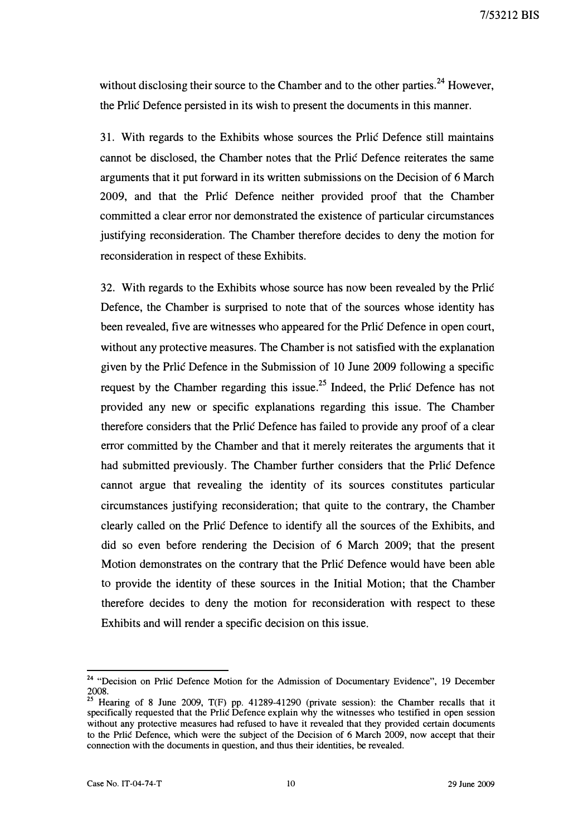without disclosing their source to the Chamber and to the other parties.<sup>24</sup> However, the Prlic Defence persisted in its wish to present the documents in this manner.

31. With regards to the Exhibits whose sources the Prlic Defence still maintains cannot be disclosed, the Chamber notes that the Prlic Defence reiterates the same arguments that it put forward in its written submissions on the Decision of 6 March 2009, and that the Prlic Defence neither provided proof that the Chamber committed a clear error nor demonstrated the existence of particular circumstances justifying reconsideration. The Chamber therefore decides to deny the motion for reconsideration in respect of these Exhibits.

32. With regards to the Exhibits whose source has now been revealed by the Prlic Defence, the Chamber is surprised to note that of the sources whose identity has been revealed, five are witnesses who appeared for the Prlic Defence in open court, without any protective measures. The Chamber is not satisfied with the explanation given by the Prlic Defence in the Submission of 10 June 2009 following a specific request by the Chamber regarding this issue.<sup>25</sup> Indeed, the Prlic Defence has not provided any new or specific explanations regarding this issue. The Chamber therefore considers that the Prlic Defence has failed to provide any proof of a clear error committed by the Chamber and that it merely reiterates the arguments that it had submitted previously. The Chamber further considers that the Prlic Defence cannot argue that revealing the identity of its sources constitutes particular circumstances justifying reconsideration; that quite to the contrary, the Chamber clearly called on the Prlic Defence to identify all the sources of the Exhibits, and did so even before rendering the Decision of 6 March 2009; that the present Motion demonstrates on the contrary that the Prlic Defence would have been able to provide the identity of these sources in the Initial Motion; that the Chamber therefore decides to deny the motion for reconsideration with respect to these Exhibits and will render a specific decision on this issue.

<sup>&</sup>lt;sup>24</sup> "Decision on Prlic Defence Motion for the Admission of Documentary Evidence", 19 December 2008.

<sup>&</sup>lt;sup>23</sup> Hearing of 8 June 2009,  $T(F)$  pp. 41289-41290 (private session): the Chamber recalls that it specifically requested that the Prlic Defence explain why the witnesses who testified in open session without any protective measures had refused to have it revealed that they provided certain documents to the Prlic Defence, which were the subject of the Decision of 6 March 2009, now accept that their connection with the documents in question, and thus their identities, be revealed.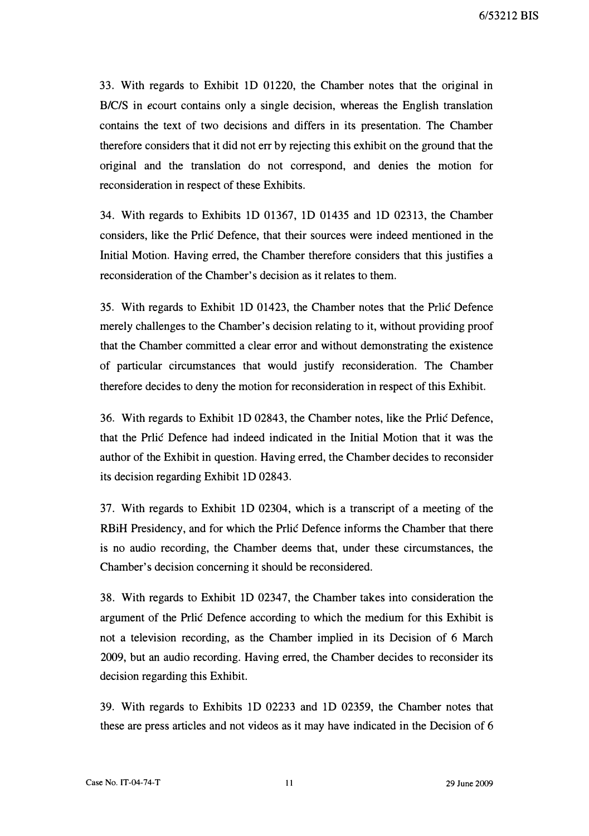33. With regards to Exhibit 1D 01220, the Chamber notes that the original in B/C/S in ecourt contains only a single decision, whereas the English translation contains the text of two decisions and differs in its presentation. The Chamber therefore considers that it did not err by rejecting this exhibit on the ground that the original and the translation do not correspond, and denies the motion for reconsideration in respect of these Exhibits.

34. With regards to Exhibits 1D 01367, 1D 01435 and 1D 02313, the Chamber considers, like the Prlić Defence, that their sources were indeed mentioned in the Initial Motion. Having erred, the Chamber therefore considers that this justifies a reconsideration of the Chamber's decision as it relates to them.

35. With regards to Exhibit 1D 01423, the Chamber notes that the Prlic Defence merely challenges to the Chamber's decision relating to it, without providing proof that the Chamber committed a clear error and without demonstrating the existence of particular circumstances that would justify reconsideration. The Chamber therefore decides to deny the motion for reconsideration in respect of this Exhibit.

36. With regards to Exhibit 1D 02843, the Chamber notes, like the Pric Defence, that the Priic Defence had indeed indicated in the Initial Motion that it was the author of the Exhibit in question. Having erred, the Chamber decides to reconsider its decision regarding Exhibit 1D 02843.

37. With regards to Exhibit 1D 02304, which is a transcript of a meeting of the RBiH Presidency, and for which the Priic Defence informs the Chamber that there is no audio recording, the Chamber deems that, under these circumstances, the Chamber's decision concerning it should be reconsidered.

38. With regards to Exhibit 1D 02347, the Chamber takes into consideration the argument of the Price Defence according to which the medium for this Exhibit is not a television recording, as the Chamber implied in its Decision of 6 March 2009, but an audio recording. Having erred, the Chamber decides to reconsider its decision regarding this Exhibit.

39. With regards to Exhibits 1D 02233 and 1D 02359, the Chamber notes that these are press articles and not videos as it may have indicated in the Decision of 6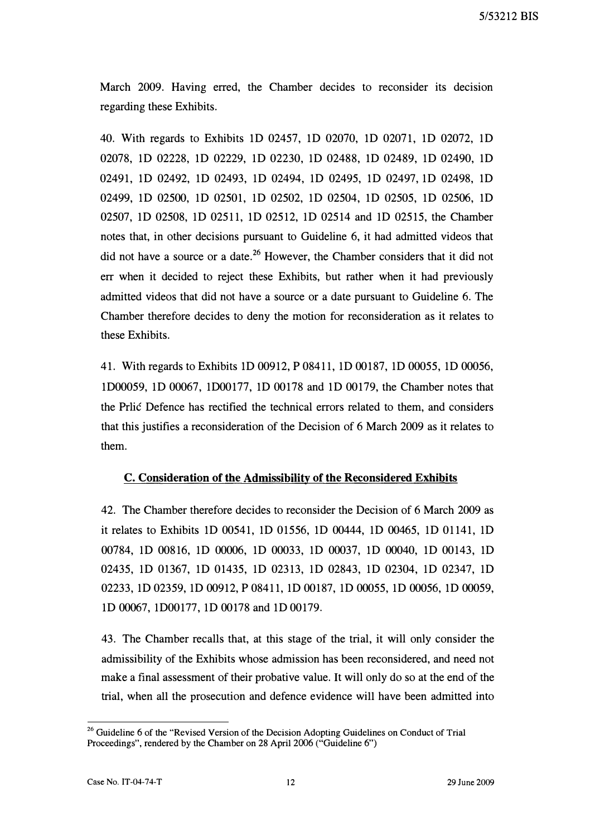March 2009. Having erred, the Chamber decides to reconsider its decision regarding these Exhibits.

40. With regards to Exhibits 1D 02457, 1D 02070, 1D 02071, 1D 02072, 1D 02078, 1D 02228, 1D 02229, 1D 02230, 1D 02488, 1D 02489, 1D 02490, 1D 02491, 1D 02492, 1D 02493, 1D 02494, 1D 02495, 1D 02497, 1D 02498, 1D 02499, 1D 02500, 1D 02501, 1D 02502, 1D 02504, 1D 02505, 1D 02506, 1D 02507, 1D 02508, 1D 02511, 1D 02512, 1D 02514 and 1D 02515, the Chamber notes that, in other decisions pursuant to Guideline 6, it had admitted videos that did not have a source or a date.<sup>26</sup> However, the Chamber considers that it did not err when it decided to reject these Exhibits, but rather when it had previously admitted videos that did not have a source or a date pursuant to Guideline 6. The Chamber therefore decides to deny the motion for reconsideration as it relates to these Exhibits.

41. With regards to Exhibits 1D 00912, P 08411, 1D 00187, 1D 00055, 1D 00056, 1D00059, 1D 00067, 1D00177, 1D 00178 and 1D 00179, the Chamber notes that the Prlic Defence has rectified the technical errors related to them, and considers that this justifies a reconsideration of the Decision of 6 March 2009 as it relates to them.

## C. Consideration of the Admissibility of the Reconsidered Exhibits

42. The Chamber therefore decides to reconsider the Decision of 6 March 2009 as it relates to Exhibits 1D 00541, 1D 01556, 1D 00444, 1D 00465, 1D 01141, 1D 00784, 1D 00816, 1D 00006, 1D 00033, 1D 00037, 1D 00040, 1D 00143, 1D 02435, 1D 01367, 1D 01435, 1D 02313, 1D 02843, 1D 02304, 1D 02347, 1D 02233, 1D 02359, 1D 00912, P 08411, 1D 00187, 1D 00055, 1D 00056, 1D 00059, 1D 00067, 1D00177, 1D 00178 and 1D 00179.

43. The Chamber recalls that, at this stage of the trial, it will only consider the admissibility of the Exhibits whose admission has been reconsidered, and need not make a final assessment of their probative value. It will only do so at the end of the trial, when all the prosecution and defence evidence will have been admitted into

<sup>&</sup>lt;sup>26</sup> Guideline 6 of the "Revised Version of the Decision Adopting Guidelines on Conduct of Trial Proceedings", rendered by the Chamber on 28 April 2006 ("Guideline 6")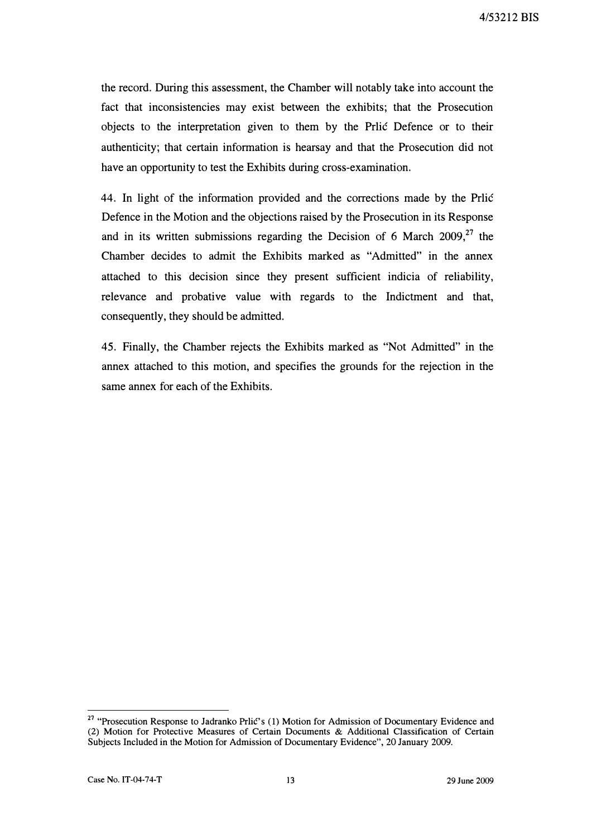the record. During this assessment, the Chamber will notably take into account the fact that inconsistencies may exist between the exhibits; that the Prosecution objects to the interpretation given to them by the Prilic Defence or to their authenticity; that certain information is hearsay and that the Prosecution did not have an opportunity to test the Exhibits during cross-examination.

44. In light of the information provided and the corrections made by the Prlić Defence in the Motion and the objections raised by the Prosecution in its Response and in its written submissions regarding the Decision of 6 March  $2009$ <sup>27</sup>, the Chamber decides to admit the Exhibits marked as "Admitted" in the annex attached to this decision since they present sufficient indicia of reliability, relevance and probative value with regards to the Indictment and that, consequently, they should be admitted.

45. Finally, the Chamber rejects the Exhibits marked as "Not Admitted" in the annex attached to this motion, and specifies the grounds for the rejection in the same annex for each of the Exhibits.

<sup>&</sup>lt;sup>27</sup> "Prosecution Response to Jadranko Prlić's (1) Motion for Admission of Documentary Evidence and (2) Motion for Protective Measures of Certain Documents & Additional Classification of Certain Subjects Included in the Motion for Admission of Documentary Evidence", 20 January 2009.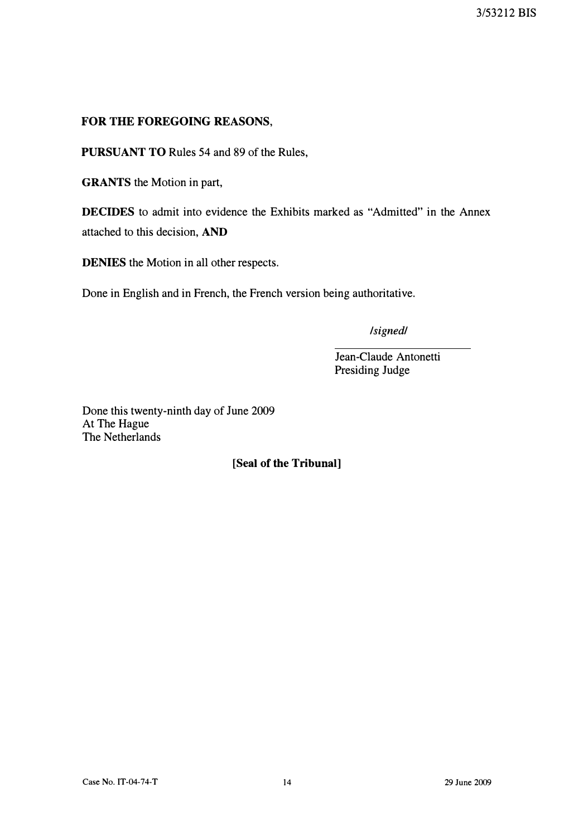# FOR THE FOREGOING REASONS,

PURSUANT TO Rules 54 and 89 of the Rules,

GRANTS the Motion in part,

DECIDES to admit into evidence the Exhibits marked as "Admitted" in the Annex attached to this decision, AND

DENIES the Motion in all other respects.

Done in English and in French, the French version being authoritative.

/signed/

Jean-Claude Antonetti Presiding Judge

Done this twenty-ninth day of June 2009 At The Hague The Netherlands

## [Seal of the Tribunal]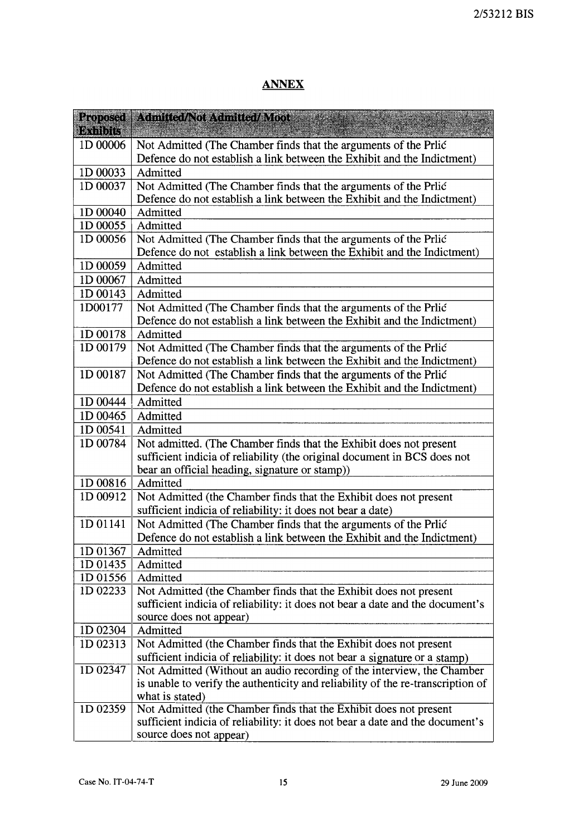# **ANNEX**

| Proposed | Admitted/Not Admitted/Moot                                                          |
|----------|-------------------------------------------------------------------------------------|
| Exhibits |                                                                                     |
| 1D 00006 | Not Admitted (The Chamber finds that the arguments of the Prlić                     |
|          | Defence do not establish a link between the Exhibit and the Indictment)             |
| 1D 00033 | Admitted                                                                            |
| 1D 00037 | Not Admitted (The Chamber finds that the arguments of the Prlić                     |
|          | Defence do not establish a link between the Exhibit and the Indictment)             |
| 1D 00040 | Admitted                                                                            |
| 1D 00055 | Admitted                                                                            |
| 1D 00056 | Not Admitted (The Chamber finds that the arguments of the Prlić                     |
|          | Defence do not establish a link between the Exhibit and the Indictment)             |
| 1D 00059 | Admitted                                                                            |
| 1D 00067 | Admitted                                                                            |
| 1D 00143 | Admitted                                                                            |
| 1D00177  | Not Admitted (The Chamber finds that the arguments of the Prlić                     |
|          | Defence do not establish a link between the Exhibit and the Indictment)             |
| 1D 00178 | Admitted                                                                            |
| 1D 00179 | Not Admitted (The Chamber finds that the arguments of the Prlić                     |
|          | Defence do not establish a link between the Exhibit and the Indictment)             |
| 1D 00187 | Not Admitted (The Chamber finds that the arguments of the Prlic                     |
|          | Defence do not establish a link between the Exhibit and the Indictment)             |
| 1D 00444 | Admitted                                                                            |
| 1D 00465 | Admitted                                                                            |
| 1D 00541 | Admitted                                                                            |
| 1D 00784 | Not admitted. (The Chamber finds that the Exhibit does not present                  |
|          | sufficient indicia of reliability (the original document in BCS does not            |
|          | bear an official heading, signature or stamp))                                      |
| 1D 00816 | Admitted                                                                            |
| 1D 00912 | Not Admitted (the Chamber finds that the Exhibit does not present                   |
| 1D 01141 | sufficient indicia of reliability: it does not bear a date)                         |
|          | Not Admitted (The Chamber finds that the arguments of the Prlić                     |
| ID 01367 | Defence do not establish a link between the Exhibit and the Indictment)<br>Admitted |
| 1D 01435 | Admitted                                                                            |
| 1D 01556 | Admitted                                                                            |
| 1D 02233 | Not Admitted (the Chamber finds that the Exhibit does not present                   |
|          | sufficient indicia of reliability: it does not bear a date and the document's       |
|          | source does not appear)                                                             |
| 1D 02304 | Admitted                                                                            |
| 1D 02313 | Not Admitted (the Chamber finds that the Exhibit does not present                   |
|          | sufficient indicia of reliability: it does not bear a signature or a stamp)         |
| 1D 02347 | Not Admitted (Without an audio recording of the interview, the Chamber              |
|          | is unable to verify the authenticity and reliability of the re-transcription of     |
|          | what is stated)                                                                     |
| 1D 02359 | Not Admitted (the Chamber finds that the Exhibit does not present                   |
|          | sufficient indicia of reliability: it does not bear a date and the document's       |
|          | source does not appear)                                                             |